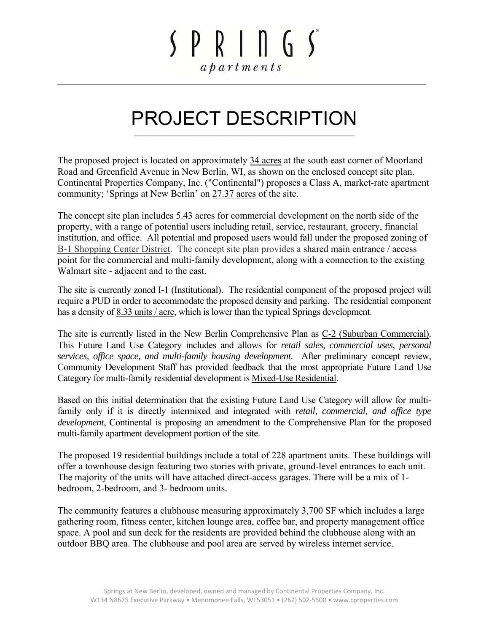### $SPR<sub>1</sub> \cap G<sub>2</sub>$  $a$   $b$   $a$   $r$   $t$   $m$   $e$   $n$   $t$   $s$

### PROJECT DESCRIPTION **\_\_\_\_\_\_\_\_\_\_\_\_\_\_\_\_\_\_\_\_\_\_\_\_\_\_\_\_\_\_\_\_\_\_\_\_\_\_\_\_\_\_\_\_\_\_\_\_\_\_\_\_\_\_\_\_\_\_\_\_\_\_**

The proposed project is located on approximately 34 acres at the south east corner of Moorland Road and Greenfield Avenue in New Berlin, WI, as shown on the enclosed concept site plan. Continental Properties Company, Inc. ("Continental") proposes a Class A, market-rate apartment community; 'Springs at New Berlin' on 27.37 acres of the site.

The concept site plan includes 5.43 acres for commercial development on the north side of the property, with a range of potential users including retail, service, restaurant, grocery, financial institution, and office. All potential and proposed users would fall under the proposed zoning of B-1 Shopping Center District. The concept site plan provides a shared main entrance / access point for the commercial and multi-family development, along with a connection to the existing Walmart site - adjacent and to the east.

The site is currently zoned I-1 (Institutional). The residential component of the proposed project will require a PUD in order to accommodate the proposed density and parking. The residential component has a density of 8.33 units / acre, which is lower than the typical Springs development.

The site is currently listed in the New Berlin Comprehensive Plan as C-2 (Suburban Commercial). This Future Land Use Category includes and allows for *retail sales, commercial uses, personal services, office space, and multi-family housing development*. After preliminary concept review, Community Development Staff has provided feedback that the most appropriate Future Land Use Category for multi-family residential development is Mixed-Use Residential.

Based on this initial determination that the existing Future Land Use Category will allow for multifamily only if it is directly intermixed and integrated with *retail, commercial, and office type development*, Continental is proposing an amendment to the Comprehensive Plan for the proposed multi-family apartment development portion of the site.

The proposed 19 residential buildings include a total of 228 apartment units. These buildings will offer a townhouse design featuring two stories with private, ground-level entrances to each unit. The majority of the units will have attached direct-access garages. There will be a mix of 1 bedroom, 2-bedroom, and 3- bedroom units.

The community features a clubhouse measuring approximately 3,700 SF which includes a large gathering room, fitness center, kitchen lounge area, coffee bar, and property management office space. A pool and sun deck for the residents are provided behind the clubhouse along with an outdoor BBQ area. The clubhouse and pool area are served by wireless internet service.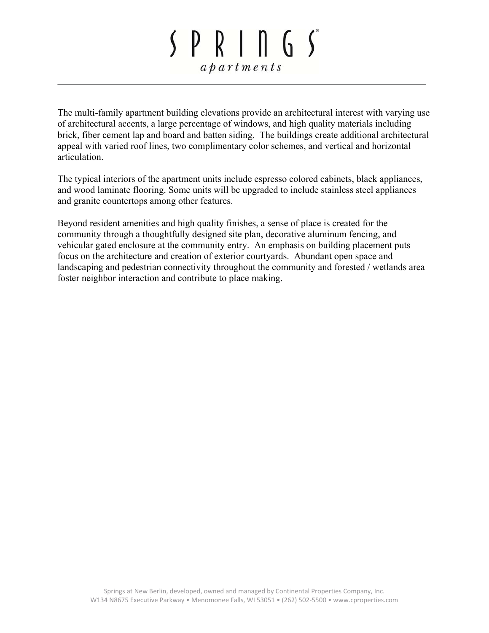# $SPR<sub>1</sub> n G<sub>2</sub>$  $a$   $p$   $a$   $r$   $t$   $m$   $e$   $n$   $t$   $s$

The multi-family apartment building elevations provide an architectural interest with varying use of architectural accents, a large percentage of windows, and high quality materials including brick, fiber cement lap and board and batten siding. The buildings create additional architectural appeal with varied roof lines, two complimentary color schemes, and vertical and horizontal articulation.

The typical interiors of the apartment units include espresso colored cabinets, black appliances, and wood laminate flooring. Some units will be upgraded to include stainless steel appliances and granite countertops among other features.

Beyond resident amenities and high quality finishes, a sense of place is created for the community through a thoughtfully designed site plan, decorative aluminum fencing, and vehicular gated enclosure at the community entry. An emphasis on building placement puts focus on the architecture and creation of exterior courtyards. Abundant open space and landscaping and pedestrian connectivity throughout the community and forested / wetlands area foster neighbor interaction and contribute to place making.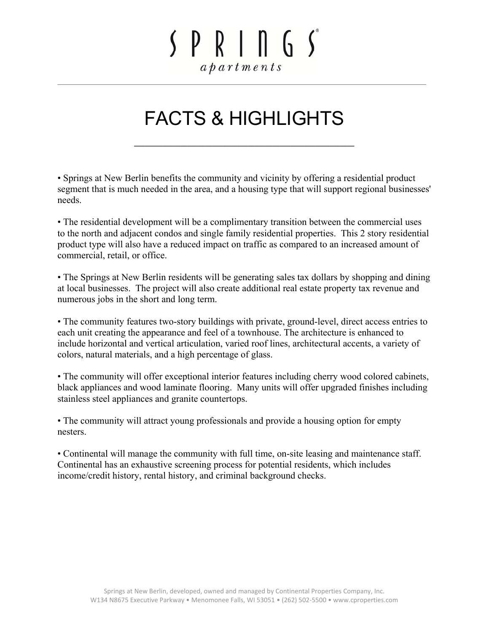### $SPR<sup>1</sup> n G<sup>s</sup>$  $a$   $p$   $a$   $r$   $t$   $m$   $e$   $n$   $t$   $s$

### FACTS & HIGHLIGHTS

**\_\_\_\_\_\_\_\_\_\_\_\_\_\_\_\_\_\_\_\_\_\_\_\_\_\_\_\_\_\_\_\_\_\_\_\_\_\_\_\_\_\_\_\_\_\_\_\_\_\_\_\_\_\_\_\_\_\_\_\_\_\_** 

• Springs at New Berlin benefits the community and vicinity by offering a residential product segment that is much needed in the area, and a housing type that will support regional businesses' needs.

• The residential development will be a complimentary transition between the commercial uses to the north and adjacent condos and single family residential properties. This 2 story residential product type will also have a reduced impact on traffic as compared to an increased amount of commercial, retail, or office.

• The Springs at New Berlin residents will be generating sales tax dollars by shopping and dining at local businesses. The project will also create additional real estate property tax revenue and numerous jobs in the short and long term.

• The community features two-story buildings with private, ground-level, direct access entries to each unit creating the appearance and feel of a townhouse. The architecture is enhanced to include horizontal and vertical articulation, varied roof lines, architectural accents, a variety of colors, natural materials, and a high percentage of glass.

• The community will offer exceptional interior features including cherry wood colored cabinets, black appliances and wood laminate flooring. Many units will offer upgraded finishes including stainless steel appliances and granite countertops.

• The community will attract young professionals and provide a housing option for empty nesters.

• Continental will manage the community with full time, on-site leasing and maintenance staff. Continental has an exhaustive screening process for potential residents, which includes income/credit history, rental history, and criminal background checks.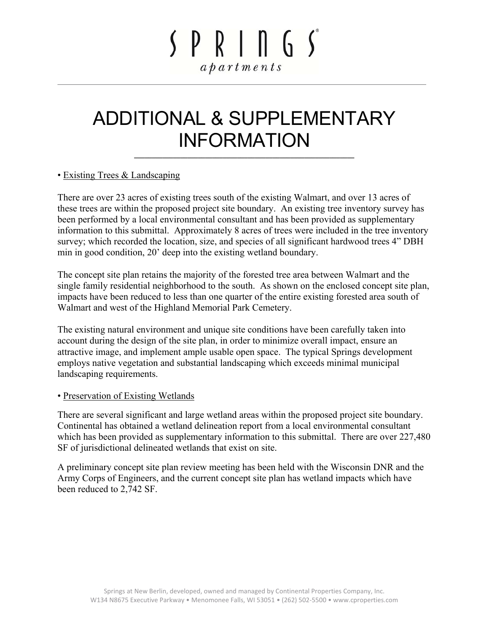# $SPR<sub>1</sub> \cap G<sub>2</sub>$  $a$   $p$   $a$   $r$   $t$   $m$   $e$   $n$   $t$   $s$

### ADDITIONAL & SUPPLEMENTARY INFORMATION

**\_\_\_\_\_\_\_\_\_\_\_\_\_\_\_\_\_\_\_\_\_\_\_\_\_\_\_\_\_\_\_\_\_\_\_\_\_\_\_\_\_\_\_\_\_\_\_\_\_\_\_\_\_\_\_\_\_\_\_\_\_\_** 

#### • Existing Trees & Landscaping

There are over 23 acres of existing trees south of the existing Walmart, and over 13 acres of these trees are within the proposed project site boundary. An existing tree inventory survey has been performed by a local environmental consultant and has been provided as supplementary information to this submittal. Approximately 8 acres of trees were included in the tree inventory survey; which recorded the location, size, and species of all significant hardwood trees 4" DBH min in good condition, 20' deep into the existing wetland boundary.

The concept site plan retains the majority of the forested tree area between Walmart and the single family residential neighborhood to the south. As shown on the enclosed concept site plan, impacts have been reduced to less than one quarter of the entire existing forested area south of Walmart and west of the Highland Memorial Park Cemetery.

The existing natural environment and unique site conditions have been carefully taken into account during the design of the site plan, in order to minimize overall impact, ensure an attractive image, and implement ample usable open space. The typical Springs development employs native vegetation and substantial landscaping which exceeds minimal municipal landscaping requirements.

#### • Preservation of Existing Wetlands

There are several significant and large wetland areas within the proposed project site boundary. Continental has obtained a wetland delineation report from a local environmental consultant which has been provided as supplementary information to this submittal. There are over 227,480 SF of jurisdictional delineated wetlands that exist on site.

A preliminary concept site plan review meeting has been held with the Wisconsin DNR and the Army Corps of Engineers, and the current concept site plan has wetland impacts which have been reduced to 2,742 SF.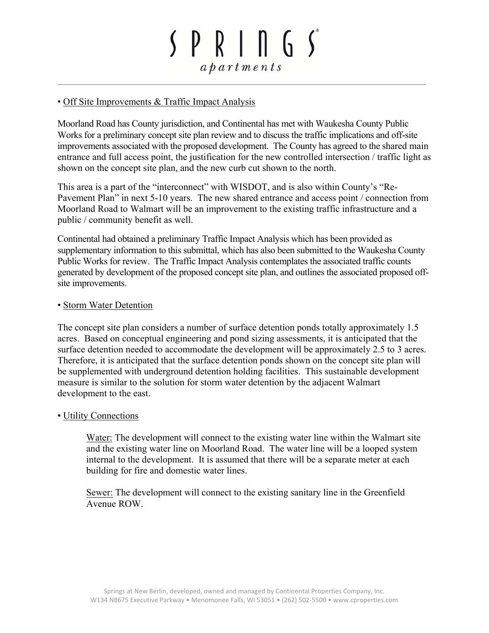# $SPR<sub>1</sub> n G<sub>2</sub>$  $a$   $b$   $a$   $r$   $t$   $m$   $e$   $n$   $t$   $s$

#### • Off Site Improvements & Traffic Impact Analysis

Moorland Road has County jurisdiction, and Continental has met with Waukesha County Public Works for a preliminary concept site plan review and to discuss the traffic implications and off-site improvements associated with the proposed development. The County has agreed to the shared main entrance and full access point, the justification for the new controlled intersection / traffic light as shown on the concept site plan, and the new curb cut shown to the north.

This area is a part of the "interconnect" with WISDOT, and is also within County's "Re-Pavement Plan" in next 5-10 years. The new shared entrance and access point / connection from Moorland Road to Walmart will be an improvement to the existing traffic infrastructure and a public / community benefit as well.

Continental had obtained a preliminary Traffic Impact Analysis which has been provided as supplementary information to this submittal, which has also been submitted to the Waukesha County Public Works for review. The Traffic Impact Analysis contemplates the associated traffic counts generated by development of the proposed concept site plan, and outlines the associated proposed offsite improvements.

#### • Storm Water Detention

The concept site plan considers a number of surface detention ponds totally approximately 1.5 acres. Based on conceptual engineering and pond sizing assessments, it is anticipated that the surface detention needed to accommodate the development will be approximately 2.5 to 3 acres. Therefore, it is anticipated that the surface detention ponds shown on the concept site plan will be supplemented with underground detention holding facilities. This sustainable development measure is similar to the solution for storm water detention by the adjacent Walmart development to the east.

#### • Utility Connections

Water: The development will connect to the existing water line within the Walmart site and the existing water line on Moorland Road. The water line will be a looped system internal to the development. It is assumed that there will be a separate meter at each building for fire and domestic water lines.

Sewer: The development will connect to the existing sanitary line in the Greenfield Avenue ROW.